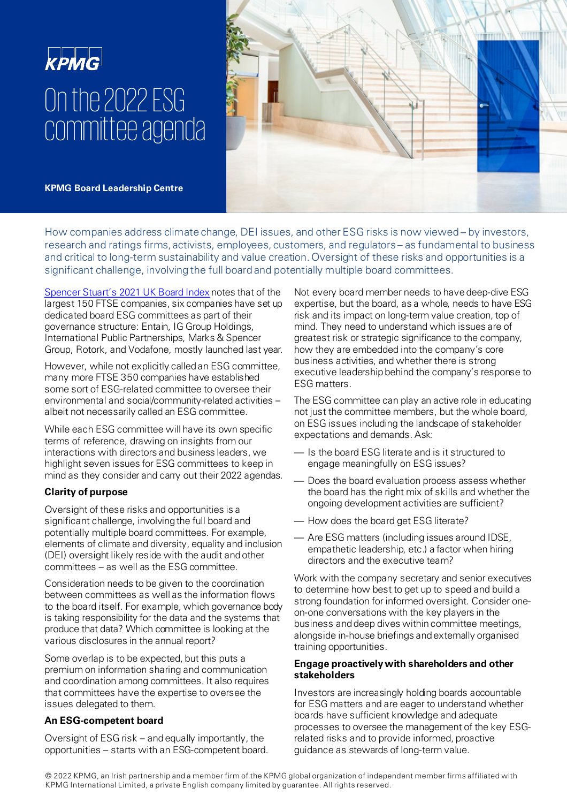# **KPMG** On the 2022 ESG committee agenda



**KPMG Board Leadership Centre**

How companies address climate change, DEI issues, and other ESG risks is now viewed – by investors, research and ratings firms, activists, employees, customers, and regulators – as fundamental to business and critical to long-term sustainability and value creation. Oversight of these risks and opportunities is a significant challenge, involving the full board and potentially multiple board committees.

[Spencer Stuart's 2021 UK Board Index](https://www.spencerstuart.com/research-and-insight/uk-board-index) notes that of the largest 150 FTSE companies, six companies have set up dedicated board ESG committees as part of their governance structure: Entain, IG Group Holdings, International Public Partnerships, Marks & Spencer Group, Rotork, and Vodafone, mostly launched last year.

However, while not explicitly called an ESG committee, many more FTSE 350 companies have established some sort of ESG-related committee to oversee their environmental and social/community-related activities – albeit not necessarily called an ESG committee.

While each ESG committee will have its own specific terms of reference, drawing on insights from our interactions with directors and business leaders, we highlight seven issues for ESG committees to keep in mind as they consider and carry out their 2022 agendas.

# **Clarity of purpose**

Oversight of these risks and opportunities is a significant challenge, involving the full board and potentially multiple board committees. For example, elements of climate and diversity, equality and inclusion (DEI) oversight likely reside with the audit and other committees – as well as the ESG committee.

Consideration needs to be given to the coordination between committees as well as the information flows to the board itself. For example, which governance body is taking responsibility for the data and the systems that produce that data? Which committee is looking at the various disclosures in the annual report?

Some overlap is to be expected, but this puts a premium on information sharing and communication and coordination among committees. It also requires that committees have the expertise to oversee the issues delegated to them.

## **An ESG-competent board**

Oversight of ESG risk – and equally importantly, the opportunities – starts with an ESG-competent board. Not every board member needs to have deep-dive ESG expertise, but the board, as a whole, needs to have ESG risk and its impact on long-term value creation, top of mind. They need to understand which issues are of greatest risk or strategic significance to the company, how they are embedded into the company's core business activities, and whether there is strong executive leadership behind the company's response to ESG matters.

The ESG committee can play an active role in educating not just the committee members, but the whole board, on ESG issues including the landscape of stakeholder expectations and demands. Ask:

- Is the board ESG literate and is it structured to engage meaningfully on ESG issues?
- Does the board evaluation process assess whether the board has the right mix of skills and whether the ongoing development activities are sufficient?
- How does the board get ESG literate?
- Are ESG matters (including issues around IDSE, empathetic leadership, etc.) a factor when hiring directors and the executive team?

Work with the company secretary and senior executives to determine how best to get up to speed and build a strong foundation for informed oversight. Consider oneon-one conversations with the key players in the business and deep dives within committee meetings, alongside in-house briefings and externally organised training opportunities.

### **Engage proactively with shareholders and other stakeholders**

Investors are increasingly holding boards accountable for ESG matters and are eager to understand whether boards have sufficient knowledge and adequate processes to oversee the management of the key ESGrelated risks and to provide informed, proactive guidance as stewards of long-term value.

© 2022 KPMG, an Irish partnership and a member firm of the KPMG global organization of independent member firms affiliated with KPMG International Limited, a private English company limited by guarantee. All rights reserved.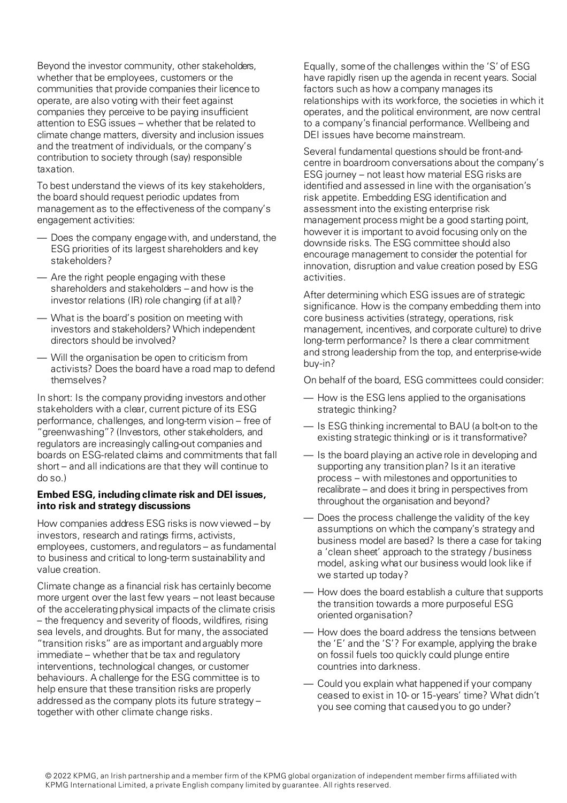Beyond the investor community, other stakeholders, whether that be employees, customers or the communities that provide companies their licence to operate, are also voting with their feet against companies they perceive to be paying insufficient attention to ESG issues – whether that be related to climate change matters, diversity and inclusion issues and the treatment of individuals, or the company's contribution to society through (say) responsible taxation.

To best understand the views of its key stakeholders, the board should request periodic updates from management as to the effectiveness of the company's engagement activities:

- Does the company engage with, and understand, the ESG priorities of its largest shareholders and key stakeholders?
- Are the right people engaging with these shareholders and stakeholders – and how is the investor relations (IR) role changing (if at all)?
- What is the board's position on meeting with investors and stakeholders? Which independent directors should be involved?
- Will the organisation be open to criticism from activists? Does the board have a road map to defend themselves?

In short: Is the company providing investors and other stakeholders with a clear, current picture of its ESG performance, challenges, and long-term vision – free of 'greenwashing"? (Investors, other stakeholders, and regulators are increasingly calling-out companies and boards on ESG-related claims and commitments that fall short – and all indications are that they will continue to do so.)

#### **Embed ESG, including climate risk and DEI issues, into risk and strategy discussions**

How companies address ESG risks is now viewed – by investors, research and ratings firms, activists, employees, customers, and regulators – as fundamental to business and critical to long-term sustainability and value creation.

Climate change as a financial risk has certainly become more urgent over the last few years – not least because of the accelerating physical impacts of the climate crisis – the frequency and severity of floods, wildfires, rising sea levels, and droughts. But for many, the associated "transition risks" are as important and arguably more immediate – whether that be tax and regulatory interventions, technological changes, or customer behaviours. A challenge for the ESG committee is to help ensure that these transition risks are properly addressed as the company plots its future strategy – together with other climate change risks.

Equally, some of the challenges within the 'S' of ESG have rapidly risen up the agenda in recent years. Social factors such as how a company manages its relationships with its workforce, the societies in which it operates, and the political environment, are now central to a company's financial performance. Wellbeing and DEI issues have become mainstream.

Several fundamental questions should be front-andcentre in boardroom conversations about the company's ESG journey – not least how material ESG risks are identified and assessed in line with the organisation's risk appetite. Embedding ESG identification and assessment into the existing enterprise risk management process might be a good starting point, however it is important to avoid focusing only on the downside risks. The ESG committee should also encourage management to consider the potential for innovation, disruption and value creation posed by ESG activities.

After determining which ESG issues are of strategic significance. How is the company embedding them into core business activities (strategy, operations, risk management, incentives, and corporate culture) to drive long-term performance? Is there a clear commitment and strong leadership from the top, and enterprise-wide buy-in?

On behalf of the board, ESG committees could consider:

- How is the ESG lens applied to the organisations strategic thinking?
- Is ESG thinking incremental to BAU (a bolt-on to the existing strategic thinking) or is it transformative?
- Is the board playing an active role in developing and supporting any transition plan? Is it an iterative process – with milestones and opportunities to recalibrate – and does it bring in perspectives from throughout the organisation and beyond?
- Does the process challenge the validity of the key assumptions on which the company's strategy and business model are based? Is there a case for taking a 'clean sheet' approach to the strategy / business model, asking what our business would look like if we started up today?
- How does the board establish a culture that supports the transition towards a more purposeful ESG oriented organisation?
- How does the board address the tensions between the 'E' and the 'S'? For example, applying the brake on fossil fuels too quickly could plunge entire countries into darkness.
- Could you explain what happened if your company ceased to exist in 10- or 15-years' time? What didn't you see coming that caused you to go under?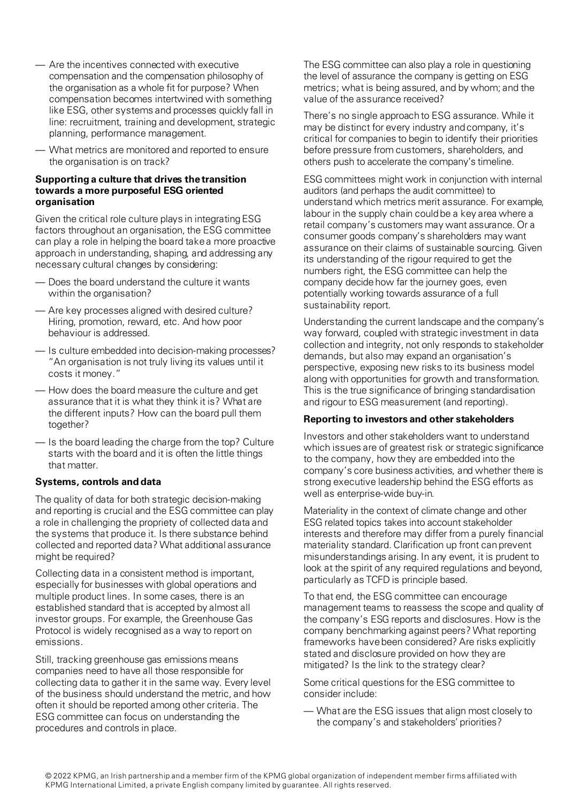- Are the incentives connected with executive compensation and the compensation philosophy of the organisation as a whole fit for purpose? When compensation becomes intertwined with something like ESG, other systems and processes quickly fall in line: recruitment, training and development, strategic planning, performance management.
- What metrics are monitored and reported to ensure the organisation is on track?

#### **Supporting a culture that drives the transition towards a more purposeful ESG oriented organisation**

Given the critical role culture plays in integrating ESG factors throughout an organisation, the ESG committee can play a role in helping the board take a more proactive approach in understanding, shaping, and addressing any necessary cultural changes by considering:

- Does the board understand the culture it wants within the organisation?
- Are key processes aligned with desired culture? Hiring, promotion, reward, etc. And how poor behaviour is addressed.
- Is culture embedded into decision-making processes? "An organisation is not truly living its values until it costs it money."
- How does the board measure the culture and get assurance that it is what they think it is? What are the different inputs? How can the board pull them together?
- Is the board leading the charge from the top? Culture starts with the board and it is often the little things that matter.

#### **Systems, controls and data**

The quality of data for both strategic decision-making and reporting is crucial and the ESG committee can play a role in challenging the propriety of collected data and the systems that produce it. Is there substance behind collected and reported data? What additional assurance might be required?

Collecting data in a consistent method is important, especially for businesses with global operations and multiple product lines. In some cases, there is an established standard that is accepted by almost all investor groups. For example, the Greenhouse Gas Protocol is widely recognised as a way to report on emissions.

Still, tracking greenhouse gas emissions means companies need to have all those responsible for collecting data to gather it in the same way. Every level of the business should understand the metric, and how often it should be reported among other criteria. The ESG committee can focus on understanding the procedures and controls in place.

The ESG committee can also play a role in questioning the level of assurance the company is getting on ESG metrics; what is being assured, and by whom; and the value of the assurance received?

There's no single approach to ESG assurance. While it may be distinct for every industry and company, it's critical for companies to begin to identify their priorities before pressure from customers, shareholders, and others push to accelerate the company's timeline.

ESG committees might work in conjunction with internal auditors (and perhaps the audit committee) to understand which metrics merit assurance. For example, labour in the supply chain could be a key area where a retail company's customers may want assurance. Or a consumer goods company's shareholders may want assurance on their claims of sustainable sourcing. Given its understanding of the rigour required to get the numbers right, the ESG committee can help the company decide how far the journey goes, even potentially working towards assurance of a full sustainability report.

Understanding the current landscape and the company's way forward, coupled with strategic investment in data collection and integrity, not only responds to stakeholder demands, but also may expand an organisation's perspective, exposing new risks to its business model along with opportunities for growth and transformation. This is the true significance of bringing standardisation and rigour to ESG measurement (and reporting).

#### **Reporting to investors and other stakeholders**

Investors and other stakeholders want to understand which issues are of greatest risk or strategic significance to the company, how they are embedded into the company's core business activities, and whether there is strong executive leadership behind the ESG efforts as well as enterprise-wide buy-in.

Materiality in the context of climate change and other ESG related topics takes into account stakeholder interests and therefore may differ from a purely financial materiality standard. Clarification up front can prevent misunderstandings arising. In any event, it is prudent to look at the spirit of any required regulations and beyond, particularly as TCFD is principle based.

To that end, the ESG committee can encourage management teams to reassess the scope and quality of the company's ESG reports and disclosures. How is the company benchmarking against peers? What reporting frameworks have been considered? Are risks explicitly stated and disclosure provided on how they are mitigated? Is the link to the strategy clear?

Some critical questions for the ESG committee to consider include:

— What are the ESG issues that align most closely to the company's and stakeholders' priorities?